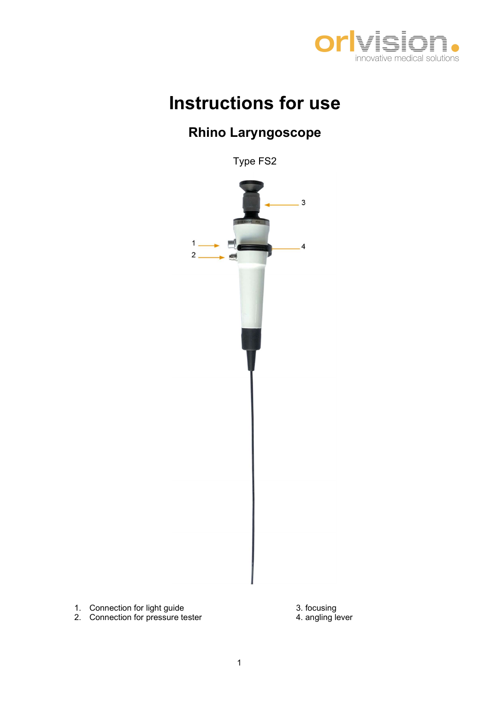

## Instructions for use

## Rhino Laryngoscope

Type FS2



- 
-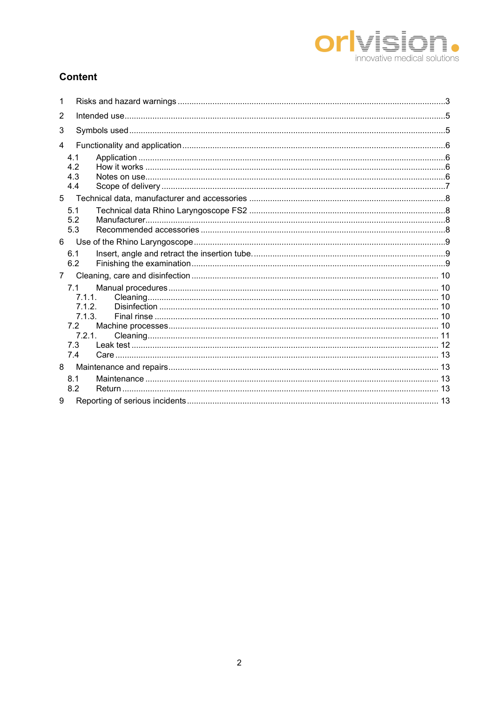

### **Content**

| 1              |                                                                  |  |
|----------------|------------------------------------------------------------------|--|
| $\overline{2}$ |                                                                  |  |
| 3              |                                                                  |  |
| 4              |                                                                  |  |
|                | 4.1<br>4.2<br>4.3<br>4.4                                         |  |
| 5              |                                                                  |  |
|                | 5.1<br>5.2<br>5.3                                                |  |
| 6              |                                                                  |  |
|                | 6.1<br>6.2                                                       |  |
| $7^{\circ}$    |                                                                  |  |
|                | 7.1<br>7.1.1.<br>7.1.2.<br>7.1.3.<br>7.2<br>7.2.1.<br>7.3<br>7.4 |  |
| 8              |                                                                  |  |
| 9              | 8.1<br>8.2                                                       |  |
|                |                                                                  |  |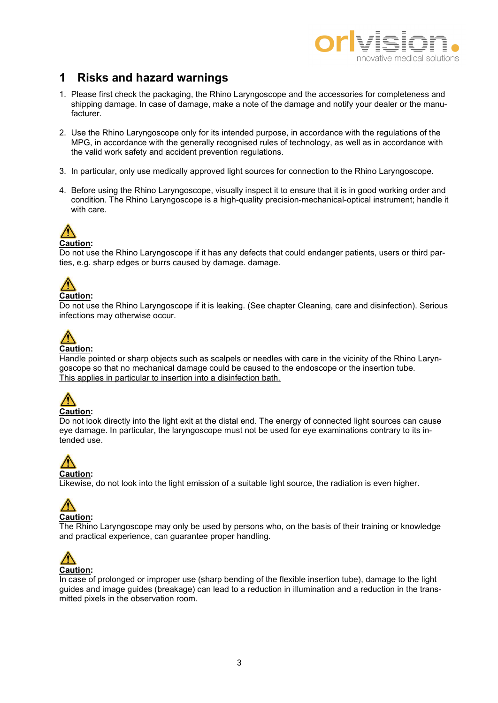

### 1 Risks and hazard warnings

- 1. Please first check the packaging, the Rhino Laryngoscope and the accessories for completeness and shipping damage. In case of damage, make a note of the damage and notify your dealer or the manufacturer.
- 2. Use the Rhino Laryngoscope only for its intended purpose, in accordance with the regulations of the MPG, in accordance with the generally recognised rules of technology, as well as in accordance with the valid work safety and accident prevention regulations.
- 3. In particular, only use medically approved light sources for connection to the Rhino Laryngoscope.
- 4. Before using the Rhino Laryngoscope, visually inspect it to ensure that it is in good working order and condition. The Rhino Laryngoscope is a high-quality precision-mechanical-optical instrument; handle it with care.



Do not use the Rhino Laryngoscope if it has any defects that could endanger patients, users or third parties, e.g. sharp edges or burrs caused by damage. damage.



### Caution:

Do not use the Rhino Laryngoscope if it is leaking. (See chapter Cleaning, care and disinfection). Serious infections may otherwise occur.



### Caution:

Handle pointed or sharp objects such as scalpels or needles with care in the vicinity of the Rhino Laryngoscope so that no mechanical damage could be caused to the endoscope or the insertion tube. This applies in particular to insertion into a disinfection bath.



Do not look directly into the light exit at the distal end. The energy of connected light sources can cause eye damage. In particular, the laryngoscope must not be used for eye examinations contrary to its intended use.

# Caution:

Likewise, do not look into the light emission of a suitable light source, the radiation is even higher.



The Rhino Laryngoscope may only be used by persons who, on the basis of their training or knowledge and practical experience, can guarantee proper handling.



In case of prolonged or improper use (sharp bending of the flexible insertion tube), damage to the light guides and image guides (breakage) can lead to a reduction in illumination and a reduction in the transmitted pixels in the observation room.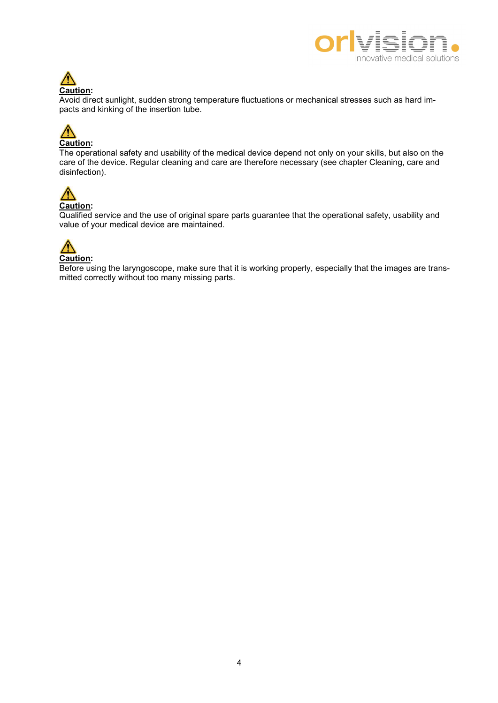



Avoid direct sunlight, sudden strong temperature fluctuations or mechanical stresses such as hard impacts and kinking of the insertion tube.



The operational safety and usability of the medical device depend not only on your skills, but also on the care of the device. Regular cleaning and care are therefore necessary (see chapter Cleaning, care and disinfection).



Qualified service and the use of original spare parts guarantee that the operational safety, usability and value of your medical device are maintained.



Before using the laryngoscope, make sure that it is working properly, especially that the images are transmitted correctly without too many missing parts.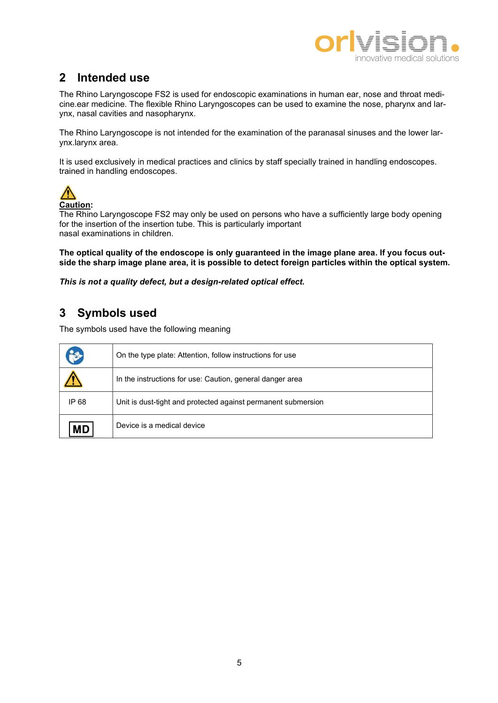

### 2 Intended use

The Rhino Laryngoscope FS2 is used for endoscopic examinations in human ear, nose and throat medicine.ear medicine. The flexible Rhino Laryngoscopes can be used to examine the nose, pharynx and larynx, nasal cavities and nasopharynx.

The Rhino Laryngoscope is not intended for the examination of the paranasal sinuses and the lower larynx.larynx area.

It is used exclusively in medical practices and clinics by staff specially trained in handling endoscopes. trained in handling endoscopes.



Caution:

The Rhino Laryngoscope FS2 may only be used on persons who have a sufficiently large body opening for the insertion of the insertion tube. This is particularly important nasal examinations in children.

The optical quality of the endoscope is only quaranteed in the image plane area. If you focus outside the sharp image plane area, it is possible to detect foreign particles within the optical system.

This is not a quality defect, but a design-related optical effect.

### 3 Symbols used

The symbols used have the following meaning

|       | On the type plate: Attention, follow instructions for use     |
|-------|---------------------------------------------------------------|
|       | In the instructions for use: Caution, general danger area     |
| IP 68 | Unit is dust-tight and protected against permanent submersion |
| MD    | Device is a medical device                                    |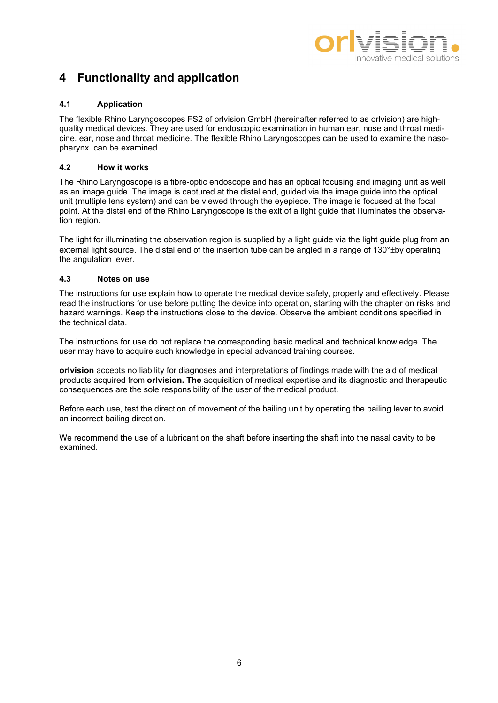

### 4 Functionality and application

### 4.1 Application

The flexible Rhino Laryngoscopes FS2 of orlvision GmbH (hereinafter referred to as orlvision) are highquality medical devices. They are used for endoscopic examination in human ear, nose and throat medicine. ear, nose and throat medicine. The flexible Rhino Laryngoscopes can be used to examine the nasopharynx. can be examined.

### 4.2 How it works

The Rhino Laryngoscope is a fibre-optic endoscope and has an optical focusing and imaging unit as well as an image guide. The image is captured at the distal end, guided via the image guide into the optical unit (multiple lens system) and can be viewed through the eyepiece. The image is focused at the focal point. At the distal end of the Rhino Laryngoscope is the exit of a light guide that illuminates the observation region.

The light for illuminating the observation region is supplied by a light guide via the light guide plug from an external light source. The distal end of the insertion tube can be angled in a range of  $130^{\circ}$ ±by operating the angulation lever.

### 4.3 Notes on use

The instructions for use explain how to operate the medical device safely, properly and effectively. Please read the instructions for use before putting the device into operation, starting with the chapter on risks and hazard warnings. Keep the instructions close to the device. Observe the ambient conditions specified in the technical data.

The instructions for use do not replace the corresponding basic medical and technical knowledge. The user may have to acquire such knowledge in special advanced training courses.

orlvision accepts no liability for diagnoses and interpretations of findings made with the aid of medical products acquired from orlvision. The acquisition of medical expertise and its diagnostic and therapeutic consequences are the sole responsibility of the user of the medical product.

Before each use, test the direction of movement of the bailing unit by operating the bailing lever to avoid an incorrect bailing direction.

We recommend the use of a lubricant on the shaft before inserting the shaft into the nasal cavity to be examined.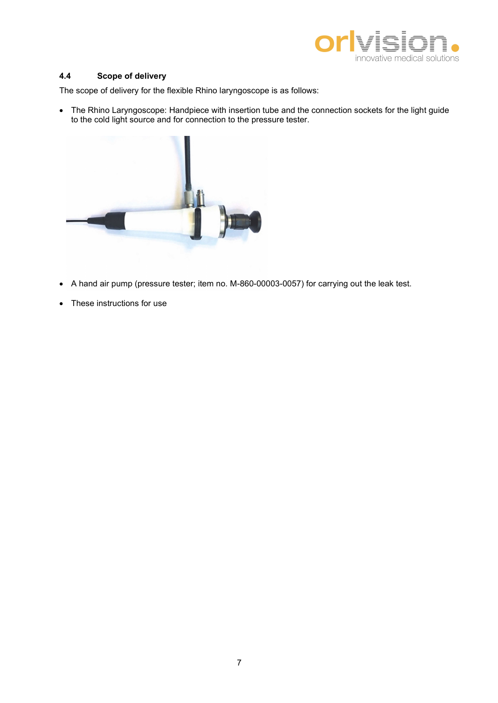

#### 4.4 Scope of delivery

The scope of delivery for the flexible Rhino laryngoscope is as follows:

 The Rhino Laryngoscope: Handpiece with insertion tube and the connection sockets for the light guide to the cold light source and for connection to the pressure tester.



- A hand air pump (pressure tester; item no. M-860-00003-0057) for carrying out the leak test.
- These instructions for use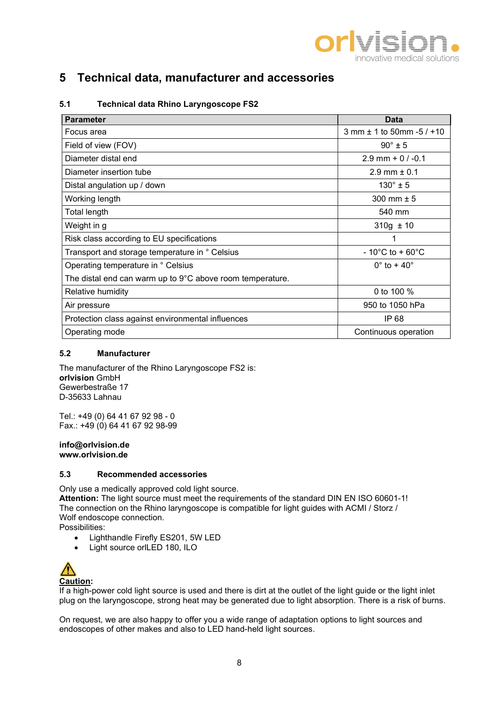

### 5 Technical data, manufacturer and accessories

| <b>Parameter</b>                                          | Data                                 |
|-----------------------------------------------------------|--------------------------------------|
| Focus area                                                | $3$ mm $\pm$ 1 to 50mm -5 / +10      |
| Field of view (FOV)                                       | $90^\circ \pm 5$                     |
| Diameter distal end                                       | $2.9$ mm + 0 / -0.1                  |
| Diameter insertion tube                                   | $2.9$ mm $\pm 0.1$                   |
| Distal angulation up / down                               | $130^{\circ} \pm 5$                  |
| Working length                                            | 300 mm $± 5$                         |
| Total length                                              | 540 mm                               |
| Weight in g                                               | $310g \pm 10$                        |
| Risk class according to EU specifications                 |                                      |
| Transport and storage temperature in ° Celsius            | $-10^{\circ}$ C to + 60 $^{\circ}$ C |
| Operating temperature in ° Celsius                        | $0^\circ$ to + 40 $^\circ$           |
| The distal end can warm up to 9°C above room temperature. |                                      |
| Relative humidity                                         | 0 to 100 %                           |
| Air pressure                                              | 950 to 1050 hPa                      |
| Protection class against environmental influences         | IP 68                                |
| Operating mode                                            | Continuous operation                 |

### 5.1 Technical data Rhino Laryngoscope FS2

### 5.2 Manufacturer

The manufacturer of the Rhino Laryngoscope FS2 is: orlvision GmbH Gewerbestraße 17 D-35633 Lahnau

Tel.: +49 (0) 64 41 67 92 98 - 0 Fax.:  $+49(0)$  64 41 67 92 98-99

#### info@orlvision.de www.orlvision.de

### 5.3 Recommended accessories

Only use a medically approved cold light source.

Attention: The light source must meet the requirements of the standard DIN EN ISO 60601-1! The connection on the Rhino laryngoscope is compatible for light guides with ACMI / Storz / Wolf endoscope connection.

Possibilities:

- Lighthandle Firefly ES201, 5W LED
- Light source orlLED 180, ILO



If a high-power cold light source is used and there is dirt at the outlet of the light guide or the light inlet plug on the laryngoscope, strong heat may be generated due to light absorption. There is a risk of burns.

On request, we are also happy to offer you a wide range of adaptation options to light sources and endoscopes of other makes and also to LED hand-held light sources.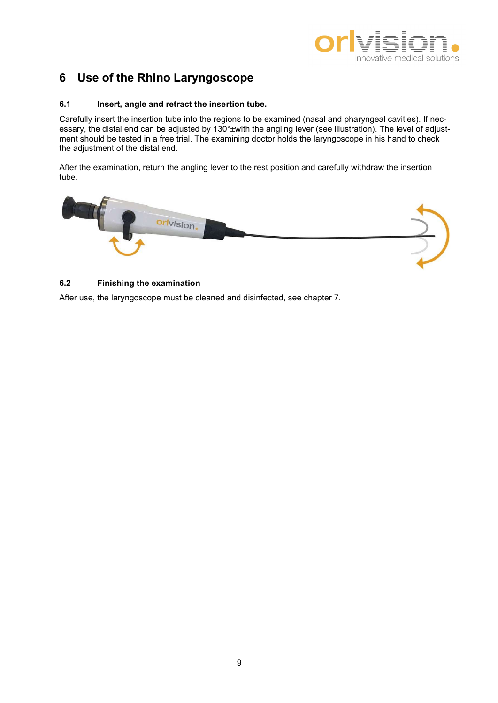

### 6 Use of the Rhino Laryngoscope

#### 6.1 Insert, angle and retract the insertion tube.

Carefully insert the insertion tube into the regions to be examined (nasal and pharyngeal cavities). If necessary, the distal end can be adjusted by 130° with the angling lever (see illustration). The level of adjustment should be tested in a free trial. The examining doctor holds the laryngoscope in his hand to check the adjustment of the distal end.

After the examination, return the angling lever to the rest position and carefully withdraw the insertion tube.



### 6.2 Finishing the examination

After use, the laryngoscope must be cleaned and disinfected, see chapter 7.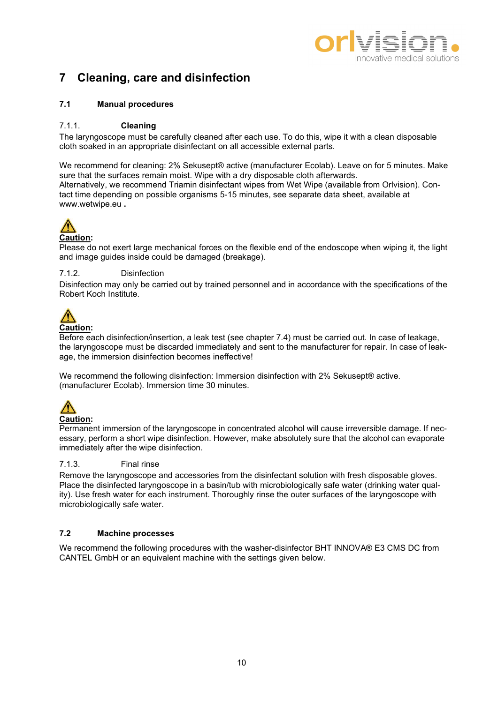

### 7 Cleaning, care and disinfection

### 7.1 Manual procedures

### 7.1.1. Cleaning

The laryngoscope must be carefully cleaned after each use. To do this, wipe it with a clean disposable cloth soaked in an appropriate disinfectant on all accessible external parts.

We recommend for cleaning: 2% Sekusept® active (manufacturer Ecolab). Leave on for 5 minutes. Make sure that the surfaces remain moist. Wipe with a dry disposable cloth afterwards. Alternatively, we recommend Triamin disinfectant wipes from Wet Wipe (available from Orlvision). Contact time depending on possible organisms 5-15 minutes, see separate data sheet, available at www.wetwipe.eu .

## Caution:

Please do not exert large mechanical forces on the flexible end of the endoscope when wiping it, the light and image guides inside could be damaged (breakage).

### 7.1.2. Disinfection

Disinfection may only be carried out by trained personnel and in accordance with the specifications of the Robert Koch Institute.



#### Before each disinfection/insertion, a leak test (see chapter 7.4) must be carried out. In case of leakage, the laryngoscope must be discarded immediately and sent to the manufacturer for repair. In case of leakage, the immersion disinfection becomes ineffective!

We recommend the following disinfection: Immersion disinfection with 2% Sekusept® active. (manufacturer Ecolab). Immersion time 30 minutes.



Permanent immersion of the laryngoscope in concentrated alcohol will cause irreversible damage. If necessary, perform a short wipe disinfection. However, make absolutely sure that the alcohol can evaporate immediately after the wipe disinfection.

### 7.1.3. Final rinse

Remove the laryngoscope and accessories from the disinfectant solution with fresh disposable gloves. Place the disinfected laryngoscope in a basin/tub with microbiologically safe water (drinking water quality). Use fresh water for each instrument. Thoroughly rinse the outer surfaces of the laryngoscope with microbiologically safe water.

### 7.2 Machine processes

We recommend the following procedures with the washer-disinfector BHT INNOVA® E3 CMS DC from CANTEL GmbH or an equivalent machine with the settings given below.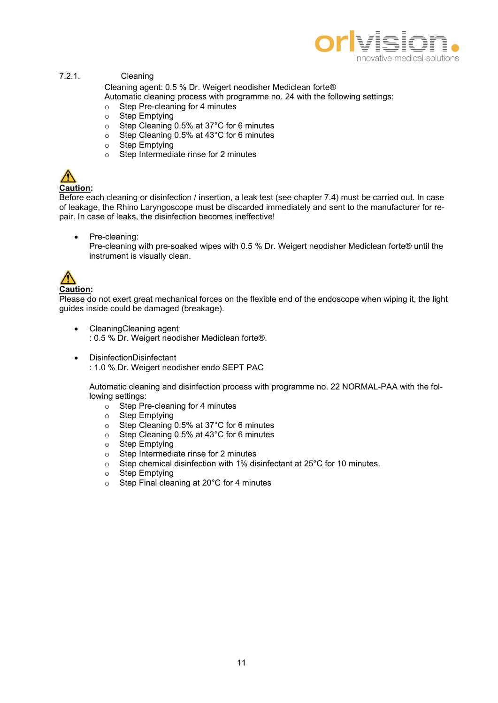

#### 7.2.1. Cleaning

Cleaning agent: 0.5 % Dr. Weigert neodisher Mediclean forte®

Automatic cleaning process with programme no. 24 with the following settings:

- o Step Pre-cleaning for 4 minutes
- o Step Emptying
- o Step Cleaning 0.5% at 37°C for 6 minutes
- o Step Cleaning 0.5% at 43°C for 6 minutes
- o Step Emptying
- o Step Intermediate rinse for 2 minutes

## Caution:

Before each cleaning or disinfection / insertion, a leak test (see chapter 7.4) must be carried out. In case of leakage, the Rhino Laryngoscope must be discarded immediately and sent to the manufacturer for repair. In case of leaks, the disinfection becomes ineffective!

 Pre-cleaning: Pre-cleaning with pre-soaked wipes with 0.5 % Dr. Weigert neodisher Mediclean forte® until the instrument is visually clean.



### Caution:

Please do not exert great mechanical forces on the flexible end of the endoscope when wiping it, the light guides inside could be damaged (breakage).

- CleaningCleaning agent : 0.5 % Dr. Weigert neodisher Mediclean forte®.
- DisinfectionDisinfectant : 1.0 % Dr. Weigert neodisher endo SEPT PAC

Automatic cleaning and disinfection process with programme no. 22 NORMAL-PAA with the following settings:

- $\circ$  Step Pre-cleaning for 4 minutes
- o Step Emptying
- o Step Cleaning 0.5% at 37°C for 6 minutes
- o Step Cleaning 0.5% at 43°C for 6 minutes
- o Step Emptying
- o Step Intermediate rinse for 2 minutes
- o Step chemical disinfection with 1% disinfectant at 25°C for 10 minutes.
- o Step Emptying
- o Step Final cleaning at 20°C for 4 minutes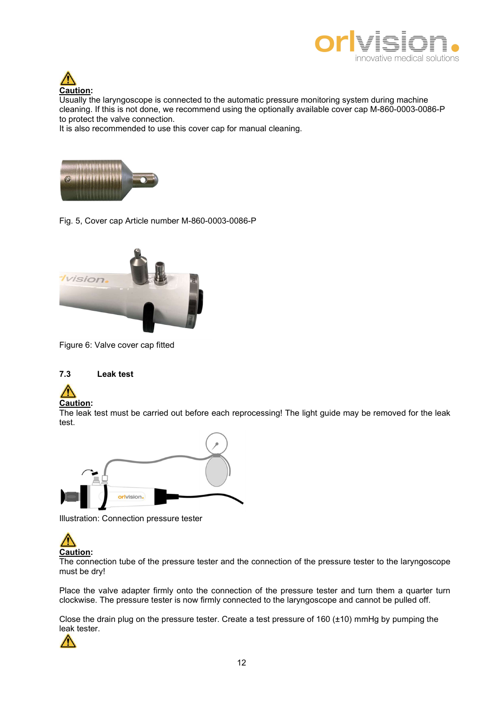



Usually the laryngoscope is connected to the automatic pressure monitoring system during machine cleaning. If this is not done, we recommend using the optionally available cover cap M-860-0003-0086-P to protect the valve connection.

It is also recommended to use this cover cap for manual cleaning.



Fig. 5, Cover cap Article number M-860-0003-0086-P



Figure 6: Valve cover cap fitted

#### 7.3 Leak test



The leak test must be carried out before each reprocessing! The light guide may be removed for the leak test.



Illustration: Connection pressure tester



The connection tube of the pressure tester and the connection of the pressure tester to the laryngoscope must be dry!

Place the valve adapter firmly onto the connection of the pressure tester and turn them a quarter turn clockwise. The pressure tester is now firmly connected to the laryngoscope and cannot be pulled off.

Close the drain plug on the pressure tester. Create a test pressure of 160 (±10) mmHg by pumping the leak tester.

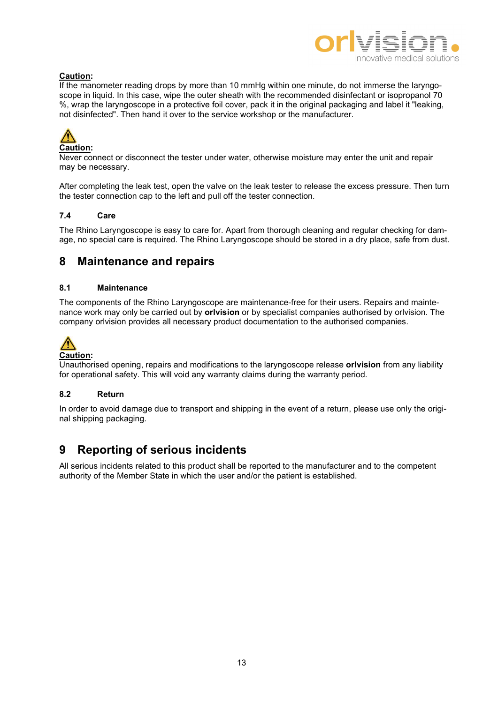

### Caution:

If the manometer reading drops by more than 10 mmHg within one minute, do not immerse the laryngoscope in liquid. In this case, wipe the outer sheath with the recommended disinfectant or isopropanol 70 %, wrap the laryngoscope in a protective foil cover, pack it in the original packaging and label it "leaking, not disinfected". Then hand it over to the service workshop or the manufacturer.



Never connect or disconnect the tester under water, otherwise moisture may enter the unit and repair may be necessary.

After completing the leak test, open the valve on the leak tester to release the excess pressure. Then turn the tester connection cap to the left and pull off the tester connection.

### 7.4 Care

The Rhino Laryngoscope is easy to care for. Apart from thorough cleaning and regular checking for damage, no special care is required. The Rhino Laryngoscope should be stored in a dry place, safe from dust.

### 8 Maintenance and repairs

#### 8.1 Maintenance

The components of the Rhino Laryngoscope are maintenance-free for their users. Repairs and maintenance work may only be carried out by **orlyision** or by specialist companies authorised by orlyision. The company orlvision provides all necessary product documentation to the authorised companies.



### Caution:

Unauthorised opening, repairs and modifications to the laryngoscope release **orlyision** from any liability for operational safety. This will void any warranty claims during the warranty period.

### 8.2 Return

In order to avoid damage due to transport and shipping in the event of a return, please use only the original shipping packaging.

### 9 Reporting of serious incidents

All serious incidents related to this product shall be reported to the manufacturer and to the competent authority of the Member State in which the user and/or the patient is established.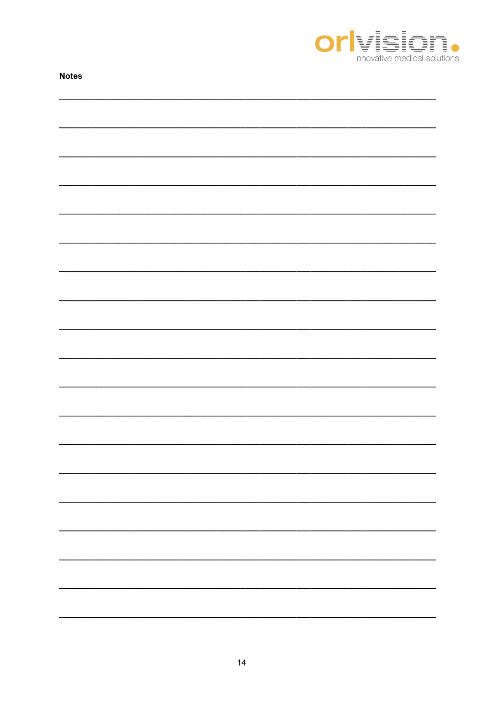

| <b>Notes</b> |  |  |  |  |
|--------------|--|--|--|--|
|              |  |  |  |  |
|              |  |  |  |  |
|              |  |  |  |  |
|              |  |  |  |  |
|              |  |  |  |  |
|              |  |  |  |  |
|              |  |  |  |  |
|              |  |  |  |  |
|              |  |  |  |  |
|              |  |  |  |  |
|              |  |  |  |  |
|              |  |  |  |  |
|              |  |  |  |  |
|              |  |  |  |  |
|              |  |  |  |  |
|              |  |  |  |  |
|              |  |  |  |  |
|              |  |  |  |  |
|              |  |  |  |  |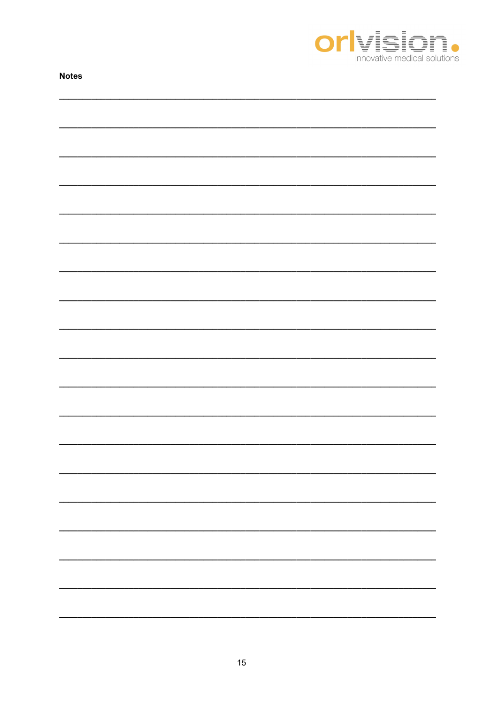

| <b>Notes</b> |  |  |  |  |
|--------------|--|--|--|--|
|              |  |  |  |  |
|              |  |  |  |  |
|              |  |  |  |  |
|              |  |  |  |  |
|              |  |  |  |  |
|              |  |  |  |  |
|              |  |  |  |  |
|              |  |  |  |  |
|              |  |  |  |  |
|              |  |  |  |  |
|              |  |  |  |  |
|              |  |  |  |  |
|              |  |  |  |  |
|              |  |  |  |  |
|              |  |  |  |  |
|              |  |  |  |  |
|              |  |  |  |  |
|              |  |  |  |  |
|              |  |  |  |  |